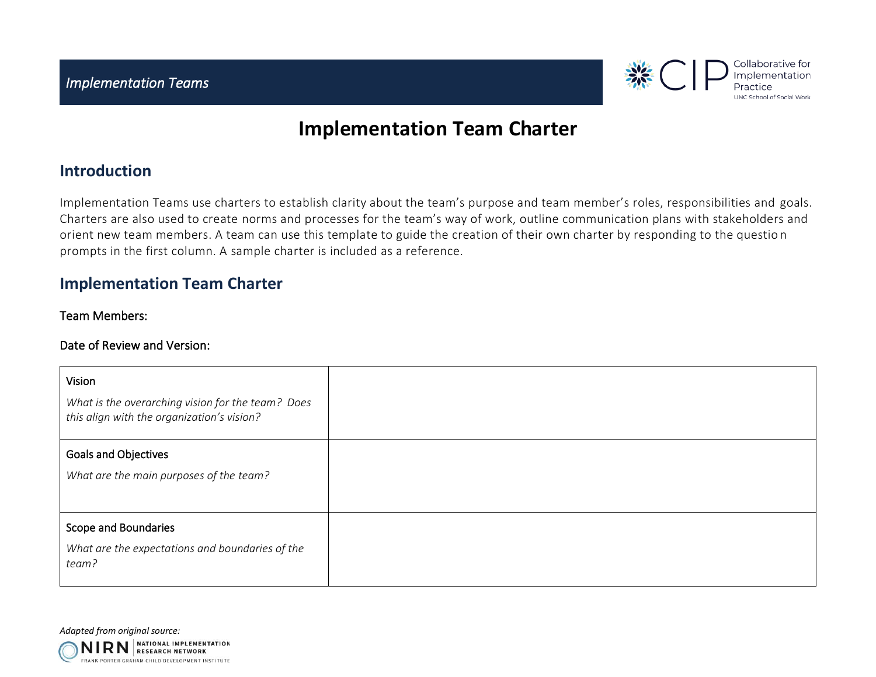

# **Implementation Team Charter**

### **Introduction**

Implementation Teams use charters to establish clarity about the team's purpose and team member's roles, responsibilities and goals. Charters are also used to create norms and processes for the team's way of work, outline communication plans with stakeholders and orient new team members. A team can use this template to guide the creation of their own charter by responding to the questio n prompts in the first column. A sample charter is included as a reference.

## **Implementation Team Charter**

### Team Members:

#### Date of Review and Version:

| Vision                                                                                          |  |
|-------------------------------------------------------------------------------------------------|--|
| What is the overarching vision for the team? Does<br>this align with the organization's vision? |  |
| <b>Goals and Objectives</b>                                                                     |  |
| What are the main purposes of the team?                                                         |  |
|                                                                                                 |  |
| Scope and Boundaries                                                                            |  |
| What are the expectations and boundaries of the<br>team?                                        |  |

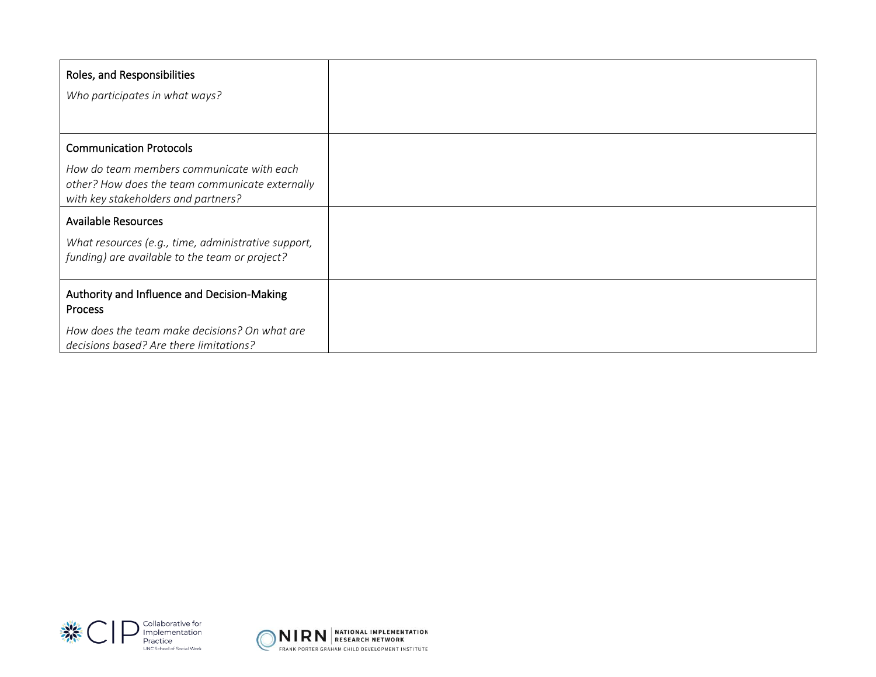| Roles, and Responsibilities                                                                                                         |  |
|-------------------------------------------------------------------------------------------------------------------------------------|--|
| Who participates in what ways?                                                                                                      |  |
|                                                                                                                                     |  |
| <b>Communication Protocols</b>                                                                                                      |  |
| How do team members communicate with each<br>other? How does the team communicate externally<br>with key stakeholders and partners? |  |
| <b>Available Resources</b>                                                                                                          |  |
| What resources (e.g., time, administrative support,<br>funding) are available to the team or project?                               |  |
| Authority and Influence and Decision-Making<br>Process                                                                              |  |
| How does the team make decisions? On what are<br>decisions based? Are there limitations?                                            |  |



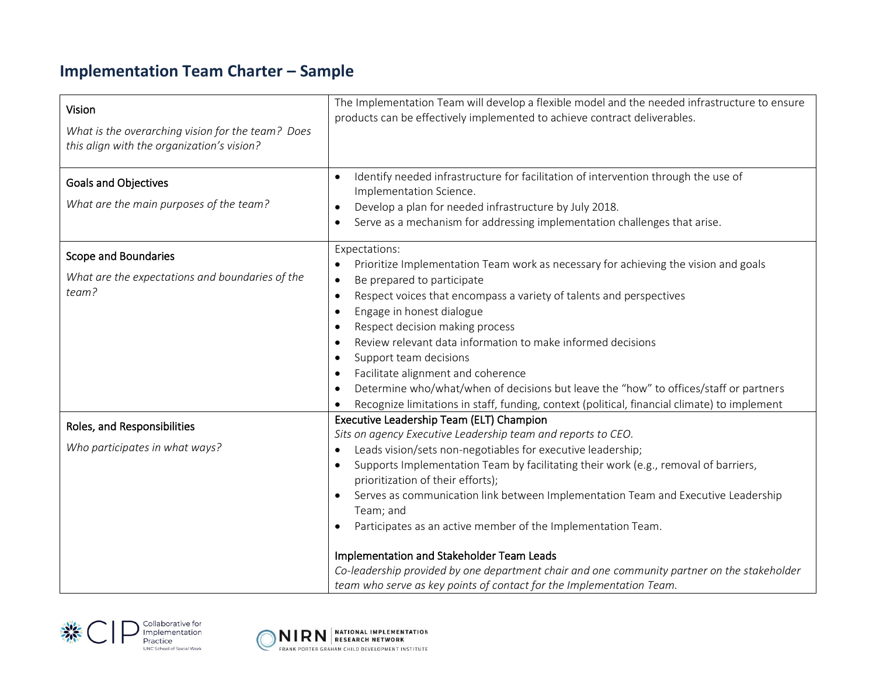## **Implementation Team Charter – Sample**

| Vision<br>What is the overarching vision for the team? Does<br>this align with the organization's vision? | The Implementation Team will develop a flexible model and the needed infrastructure to ensure<br>products can be effectively implemented to achieve contract deliverables.                                                                                                                                                                                                                                                                                                                                                                                                                                                                                                                                                          |
|-----------------------------------------------------------------------------------------------------------|-------------------------------------------------------------------------------------------------------------------------------------------------------------------------------------------------------------------------------------------------------------------------------------------------------------------------------------------------------------------------------------------------------------------------------------------------------------------------------------------------------------------------------------------------------------------------------------------------------------------------------------------------------------------------------------------------------------------------------------|
| <b>Goals and Objectives</b><br>What are the main purposes of the team?                                    | Identify needed infrastructure for facilitation of intervention through the use of<br>$\bullet$<br>Implementation Science.<br>Develop a plan for needed infrastructure by July 2018.<br>$\bullet$<br>Serve as a mechanism for addressing implementation challenges that arise.<br>$\bullet$                                                                                                                                                                                                                                                                                                                                                                                                                                         |
| <b>Scope and Boundaries</b><br>What are the expectations and boundaries of the<br>team?                   | Expectations:<br>Prioritize Implementation Team work as necessary for achieving the vision and goals<br>$\bullet$<br>Be prepared to participate<br>$\bullet$<br>Respect voices that encompass a variety of talents and perspectives<br>$\bullet$<br>Engage in honest dialogue<br>$\bullet$<br>Respect decision making process<br>$\bullet$<br>Review relevant data information to make informed decisions<br>$\bullet$<br>Support team decisions<br>$\bullet$<br>Facilitate alignment and coherence<br>$\bullet$<br>Determine who/what/when of decisions but leave the "how" to offices/staff or partners<br>$\bullet$<br>Recognize limitations in staff, funding, context (political, financial climate) to implement<br>$\bullet$ |
| Roles, and Responsibilities<br>Who participates in what ways?                                             | Executive Leadership Team (ELT) Champion<br>Sits on agency Executive Leadership team and reports to CEO.<br>Leads vision/sets non-negotiables for executive leadership;<br>$\bullet$<br>Supports Implementation Team by facilitating their work (e.g., removal of barriers,<br>$\bullet$<br>prioritization of their efforts);<br>Serves as communication link between Implementation Team and Executive Leadership<br>Team; and<br>Participates as an active member of the Implementation Team.<br>$\bullet$<br>Implementation and Stakeholder Team Leads<br>Co-leadership provided by one department chair and one community partner on the stakeholder<br>team who serve as key points of contact for the Implementation Team.    |



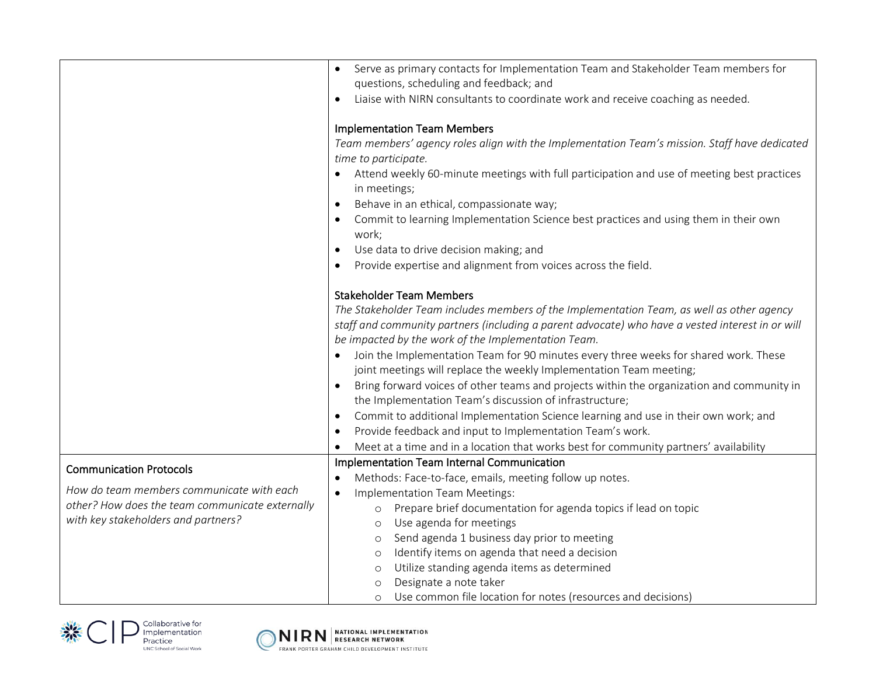|                                                 | Serve as primary contacts for Implementation Team and Stakeholder Team members for<br>questions, scheduling and feedback; and                               |
|-------------------------------------------------|-------------------------------------------------------------------------------------------------------------------------------------------------------------|
|                                                 | Liaise with NIRN consultants to coordinate work and receive coaching as needed.                                                                             |
|                                                 | <b>Implementation Team Members</b><br>Team members' agency roles align with the Implementation Team's mission. Staff have dedicated<br>time to participate. |
|                                                 | Attend weekly 60-minute meetings with full participation and use of meeting best practices<br>in meetings;                                                  |
|                                                 | Behave in an ethical, compassionate way;<br>$\bullet$                                                                                                       |
|                                                 | Commit to learning Implementation Science best practices and using them in their own<br>٠<br>work;                                                          |
|                                                 | Use data to drive decision making; and<br>$\bullet$                                                                                                         |
|                                                 | Provide expertise and alignment from voices across the field.<br>$\bullet$                                                                                  |
|                                                 | <b>Stakeholder Team Members</b>                                                                                                                             |
|                                                 | The Stakeholder Team includes members of the Implementation Team, as well as other agency                                                                   |
|                                                 | staff and community partners (including a parent advocate) who have a vested interest in or will                                                            |
|                                                 | be impacted by the work of the Implementation Team.                                                                                                         |
|                                                 | Join the Implementation Team for 90 minutes every three weeks for shared work. These<br>joint meetings will replace the weekly Implementation Team meeting; |
|                                                 | Bring forward voices of other teams and projects within the organization and community in<br>the Implementation Team's discussion of infrastructure;        |
|                                                 | Commit to additional Implementation Science learning and use in their own work; and<br>٠                                                                    |
|                                                 | Provide feedback and input to Implementation Team's work.<br>$\bullet$                                                                                      |
|                                                 | Meet at a time and in a location that works best for community partners' availability                                                                       |
| <b>Communication Protocols</b>                  | Implementation Team Internal Communication                                                                                                                  |
|                                                 | Methods: Face-to-face, emails, meeting follow up notes.<br>$\bullet$                                                                                        |
| How do team members communicate with each       | Implementation Team Meetings:<br>$\bullet$                                                                                                                  |
| other? How does the team communicate externally | Prepare brief documentation for agenda topics if lead on topic<br>$\circ$                                                                                   |
| with key stakeholders and partners?             | Use agenda for meetings<br>$\circ$                                                                                                                          |
|                                                 | Send agenda 1 business day prior to meeting<br>$\circ$                                                                                                      |
|                                                 | Identify items on agenda that need a decision<br>O                                                                                                          |
|                                                 | Utilize standing agenda items as determined<br>$\circ$                                                                                                      |
|                                                 | Designate a note taker<br>$\circ$<br>Use common file location for notes (resources and decisions)<br>$\circ$                                                |
|                                                 |                                                                                                                                                             |



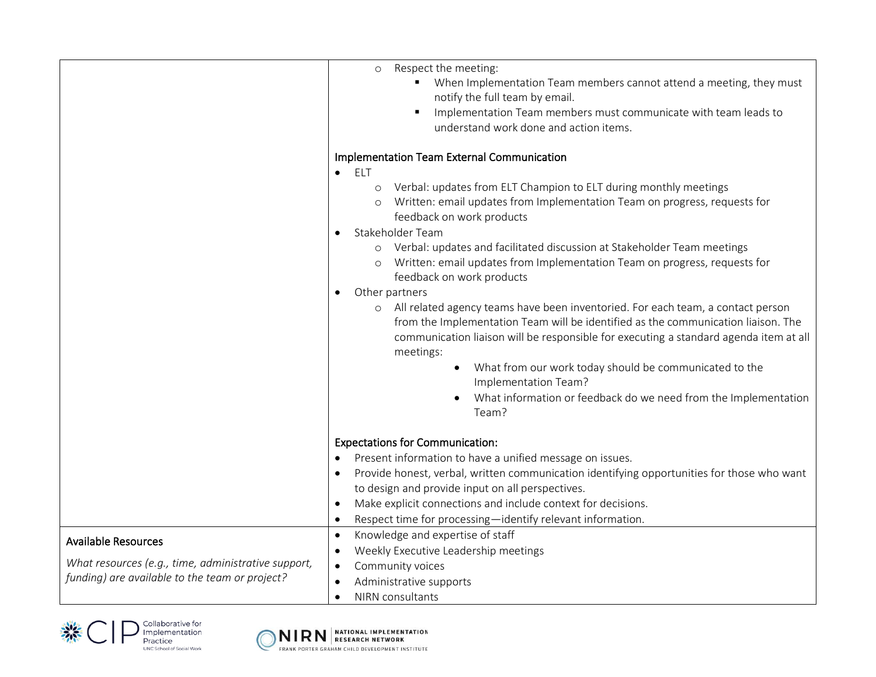|                                                     | Respect the meeting:<br>$\circ$                                                                         |
|-----------------------------------------------------|---------------------------------------------------------------------------------------------------------|
|                                                     | When Implementation Team members cannot attend a meeting, they must<br>notify the full team by email.   |
|                                                     | Implementation Team members must communicate with team leads to<br>$\blacksquare$                       |
|                                                     | understand work done and action items.                                                                  |
|                                                     |                                                                                                         |
|                                                     | Implementation Team External Communication<br><b>ELT</b><br>$\bullet$                                   |
|                                                     | Verbal: updates from ELT Champion to ELT during monthly meetings<br>$\circ$                             |
|                                                     | Written: email updates from Implementation Team on progress, requests for                               |
|                                                     | feedback on work products                                                                               |
|                                                     | Stakeholder Team<br>$\bullet$                                                                           |
|                                                     | Verbal: updates and facilitated discussion at Stakeholder Team meetings<br>$\circ$                      |
|                                                     | Written: email updates from Implementation Team on progress, requests for                               |
|                                                     | feedback on work products                                                                               |
|                                                     | Other partners<br>٠                                                                                     |
|                                                     | All related agency teams have been inventoried. For each team, a contact person<br>$\circ$              |
|                                                     | from the Implementation Team will be identified as the communication liaison. The                       |
|                                                     | communication liaison will be responsible for executing a standard agenda item at all<br>meetings:      |
|                                                     | What from our work today should be communicated to the<br>Implementation Team?                          |
|                                                     |                                                                                                         |
|                                                     | What information or feedback do we need from the Implementation<br>Team?                                |
|                                                     |                                                                                                         |
|                                                     | <b>Expectations for Communication:</b>                                                                  |
|                                                     | Present information to have a unified message on issues.<br>$\bullet$                                   |
|                                                     | Provide honest, verbal, written communication identifying opportunities for those who want<br>$\bullet$ |
|                                                     | to design and provide input on all perspectives.                                                        |
|                                                     | Make explicit connections and include context for decisions.<br>$\bullet$                               |
|                                                     | Respect time for processing-identify relevant information.<br>$\bullet$                                 |
| <b>Available Resources</b>                          | Knowledge and expertise of staff<br>$\bullet$                                                           |
|                                                     | Weekly Executive Leadership meetings<br>$\bullet$                                                       |
| What resources (e.g., time, administrative support, | Community voices<br>$\bullet$                                                                           |
| funding) are available to the team or project?      | Administrative supports<br>$\bullet$                                                                    |
|                                                     | NIRN consultants<br>$\bullet$                                                                           |





 $\overline{\mathsf{NIRN}}$  Research network FRANK PORTER GRAHAM CHILD DEVELOPMENT INSTITUTE